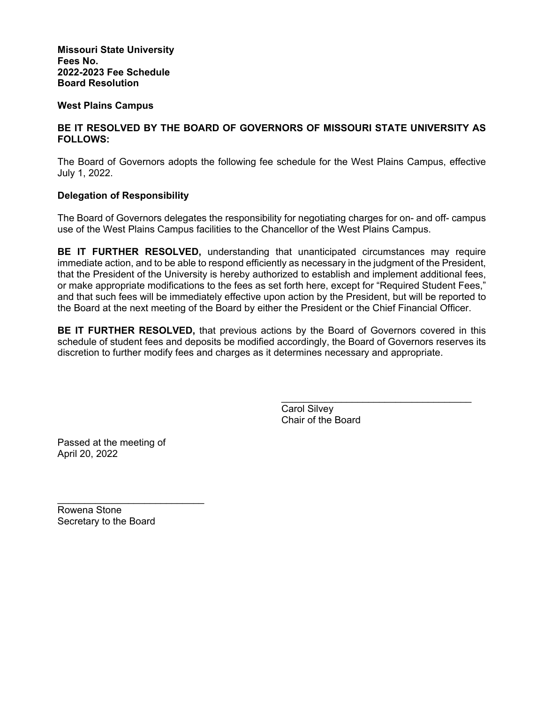**Missouri State University Fees No. 2022-2023 Fee Schedule Board Resolution** 

# **West Plains Campus**

# **BE IT RESOLVED BY THE BOARD OF GOVERNORS OF MISSOURI STATE UNIVERSITY AS FOLLOWS:**

The Board of Governors adopts the following fee schedule for the West Plains Campus, effective July 1, 2022.

# **Delegation of Responsibility**

The Board of Governors delegates the responsibility for negotiating charges for on- and off- campus use of the West Plains Campus facilities to the Chancellor of the West Plains Campus.

**BE IT FURTHER RESOLVED,** understanding that unanticipated circumstances may require immediate action, and to be able to respond efficiently as necessary in the judgment of the President, that the President of the University is hereby authorized to establish and implement additional fees, or make appropriate modifications to the fees as set forth here, except for "Required Student Fees," and that such fees will be immediately effective upon action by the President, but will be reported to the Board at the next meeting of the Board by either the President or the Chief Financial Officer.

**BE IT FURTHER RESOLVED,** that previous actions by the Board of Governors covered in this schedule of student fees and deposits be modified accordingly, the Board of Governors reserves its discretion to further modify fees and charges as it determines necessary and appropriate.

 $\frac{1}{\sqrt{2}}$  ,  $\frac{1}{\sqrt{2}}$  ,  $\frac{1}{\sqrt{2}}$  ,  $\frac{1}{\sqrt{2}}$  ,  $\frac{1}{\sqrt{2}}$  ,  $\frac{1}{\sqrt{2}}$  ,  $\frac{1}{\sqrt{2}}$  ,  $\frac{1}{\sqrt{2}}$  ,  $\frac{1}{\sqrt{2}}$  ,  $\frac{1}{\sqrt{2}}$  ,  $\frac{1}{\sqrt{2}}$  ,  $\frac{1}{\sqrt{2}}$  ,  $\frac{1}{\sqrt{2}}$  ,  $\frac{1}{\sqrt{2}}$  ,  $\frac{1}{\sqrt{2}}$ 

 Carol Silvey Chair of the Board

Passed at the meeting of April 20, 2022

Rowena Stone Secretary to the Board

 $\mathcal{L}=\mathcal{L}=\mathcal{L}=\mathcal{L}=\mathcal{L}=\mathcal{L}=\mathcal{L}=\mathcal{L}=\mathcal{L}=\mathcal{L}=\mathcal{L}=\mathcal{L}=\mathcal{L}=\mathcal{L}=\mathcal{L}=\mathcal{L}=\mathcal{L}=\mathcal{L}=\mathcal{L}=\mathcal{L}=\mathcal{L}=\mathcal{L}=\mathcal{L}=\mathcal{L}=\mathcal{L}=\mathcal{L}=\mathcal{L}=\mathcal{L}=\mathcal{L}=\mathcal{L}=\mathcal{L}=\mathcal{L}=\mathcal{L}=\mathcal{L}=\mathcal{L}=\mathcal{L}=\mathcal{$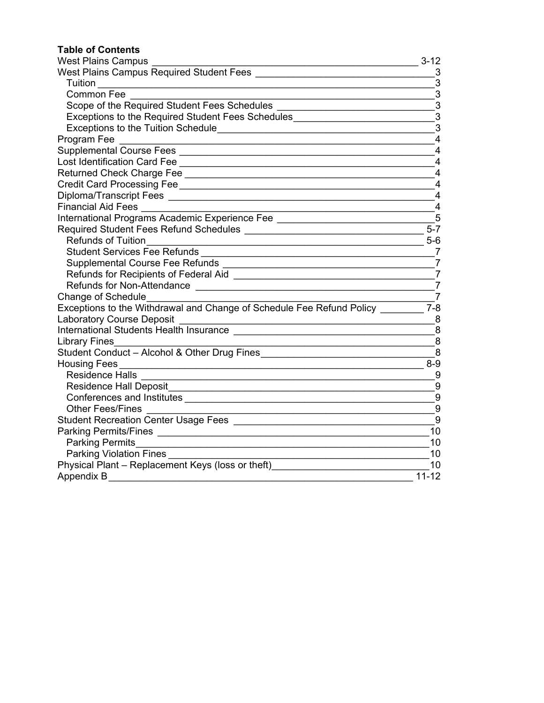# **Table of Contents**

| <b>West Plains Campus</b><br><u> 1989 - Johann Barn, mars and de Branch Barn, mars and de Branch Barn, mars and de Branch Barn, mars and de Br</u>                                                                                   | $3 - 12$         |
|--------------------------------------------------------------------------------------------------------------------------------------------------------------------------------------------------------------------------------------|------------------|
| West Plains Campus Required Student Fees [1982] [2012] [2013] Mest Plains Campus Required Student Fees [2022]                                                                                                                        | 3                |
| <b>Tuition Example 19</b>                                                                                                                                                                                                            | $\mathfrak{B}$   |
| <b>Common Fee</b>                                                                                                                                                                                                                    | $\mathfrak{B}$   |
| Scope of the Required Student Fees Schedules ___________________________________                                                                                                                                                     | $\mathfrak{B}$   |
| Exceptions to the Required Student Fees Schedules_______________________________                                                                                                                                                     | $\mathbf{3}$     |
|                                                                                                                                                                                                                                      | 3                |
|                                                                                                                                                                                                                                      | 4                |
|                                                                                                                                                                                                                                      | $\overline{4}$   |
|                                                                                                                                                                                                                                      | $\overline{4}$   |
|                                                                                                                                                                                                                                      | 4                |
|                                                                                                                                                                                                                                      | 4                |
|                                                                                                                                                                                                                                      | 4                |
| <b>Financial Aid Fees</b>                                                                                                                                                                                                            | 4                |
| International Programs Academic Experience Fee                                                                                                                                                                                       | 5                |
|                                                                                                                                                                                                                                      | $5 - 7$          |
| <b>Refunds of Tuition</b>                                                                                                                                                                                                            | $5-6$            |
| <b>Student Services Fee Refunds</b>                                                                                                                                                                                                  | -7               |
|                                                                                                                                                                                                                                      | $\overline{7}$   |
|                                                                                                                                                                                                                                      | $\overline{7}$   |
|                                                                                                                                                                                                                                      | $\overline{7}$   |
| Change of Schedule                                                                                                                                                                                                                   | $\overline{7}$   |
| Exceptions to the Withdrawal and Change of Schedule Fee Refund Policy _______                                                                                                                                                        | $7 - 8$          |
| <b>Laboratory Course Deposit</b>                                                                                                                                                                                                     | 8                |
|                                                                                                                                                                                                                                      | 8                |
| <b>Library Fines</b>                                                                                                                                                                                                                 | 8                |
| Student Conduct - Alcohol & Other Drug Fines                                                                                                                                                                                         | 8                |
| Housing Fees <b>contract the contract of the contract of the contract of the contract of the contract of the contract of the contract of the contract of the contract of the contract of the contract of the contract of the con</b> | $8-9$            |
| <b>Residence Halls</b>                                                                                                                                                                                                               | 9                |
|                                                                                                                                                                                                                                      | 9                |
|                                                                                                                                                                                                                                      | $\boldsymbol{9}$ |
| <b>Other Fees/Fines</b>                                                                                                                                                                                                              | $9\,$            |
| Student Recreation Center Usage Fees                                                                                                                                                                                                 | 9                |
|                                                                                                                                                                                                                                      | 10               |
| <b>Parking Permits</b><br><u> 1989 - Johann Barn, amerikan besteman besteman besteman besteman besteman besteman besteman besteman bestema</u>                                                                                       | 10               |
| Parking Violation Fines ___________________                                                                                                                                                                                          | 10               |
| Physical Plant - Replacement Keys (loss or theft)                                                                                                                                                                                    | 10               |
|                                                                                                                                                                                                                                      | $11 - 12$        |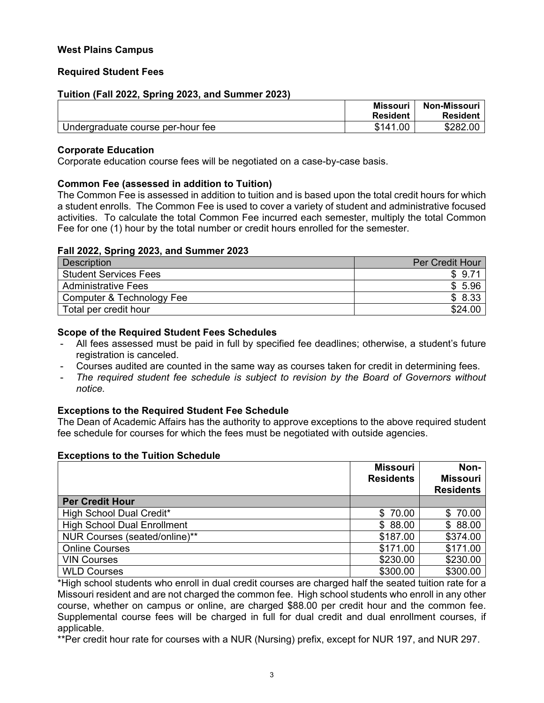# <span id="page-2-0"></span>**West Plains Campus**

# **Required Student Fees**

# **Tuition (Fall 2022, Spring 2023, and Summer 2023)**

|                                   | <b>Missouri</b> | Non-Missouri    |
|-----------------------------------|-----------------|-----------------|
|                                   | <b>Resident</b> | <b>Resident</b> |
| Undergraduate course per-hour fee | \$141.00        | \$282.00        |

#### **Corporate Education**

Corporate education course fees will be negotiated on a case-by-case basis.

# **Common Fee (assessed in addition to Tuition)**

The Common Fee is assessed in addition to tuition and is based upon the total credit hours for which a student enrolls. The Common Fee is used to cover a variety of student and administrative focused activities. To calculate the total Common Fee incurred each semester, multiply the total Common Fee for one (1) hour by the total number or credit hours enrolled for the semester.

# **Fall 2022, Spring 2023, and Summer 2023**

| Description                  | <b>Per Credit Hour</b> |
|------------------------------|------------------------|
| <b>Student Services Fees</b> | \$9.71                 |
| <b>Administrative Fees</b>   | \$5.96                 |
| Computer & Technology Fee    | \$8.33                 |
| Total per credit hour        | \$24.00                |

# **Scope of the Required Student Fees Schedules**

- All fees assessed must be paid in full by specified fee deadlines; otherwise, a student's future registration is canceled.
- Courses audited are counted in the same way as courses taken for credit in determining fees.
- *The required student fee schedule is subject to revision by the Board of Governors without notice.*

# **Exceptions to the Required Student Fee Schedule**

The Dean of Academic Affairs has the authority to approve exceptions to the above required student fee schedule for courses for which the fees must be negotiated with outside agencies.

# **Exceptions to the Tuition Schedule**

|                                    | <b>Missouri</b><br><b>Residents</b> | Non-<br><b>Missouri</b><br><b>Residents</b> |
|------------------------------------|-------------------------------------|---------------------------------------------|
| <b>Per Credit Hour</b>             |                                     |                                             |
| High School Dual Credit*           | \$70.00                             | \$70.00                                     |
| <b>High School Dual Enrollment</b> | \$88.00                             | \$88.00                                     |
| NUR Courses (seated/online)**      | \$187.00                            | \$374.00                                    |
| <b>Online Courses</b>              | \$171.00                            | \$171.00                                    |
| <b>VIN Courses</b>                 | \$230.00                            | \$230.00                                    |
| <b>WLD Courses</b>                 | \$300.00                            | \$300.00                                    |

\*High school students who enroll in dual credit courses are charged half the seated tuition rate for a Missouri resident and are not charged the common fee. High school students who enroll in any other course, whether on campus or online, are charged \$88.00 per credit hour and the common fee. Supplemental course fees will be charged in full for dual credit and dual enrollment courses, if applicable.

\*\*Per credit hour rate for courses with a NUR (Nursing) prefix, except for NUR 197, and NUR 297.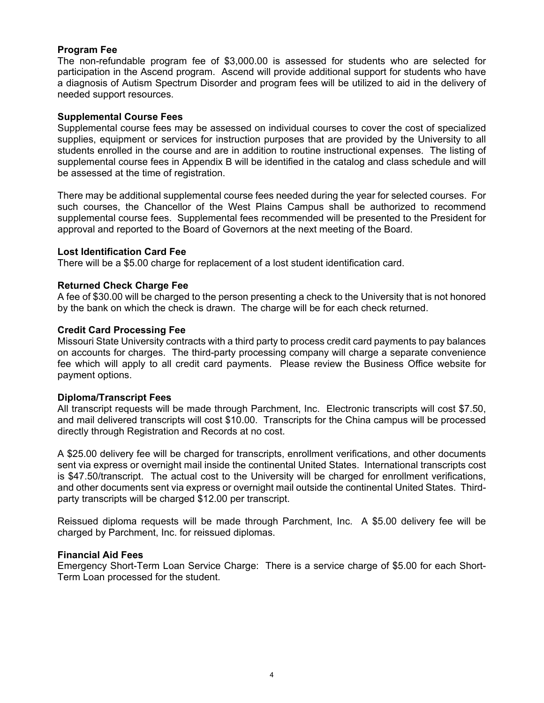# <span id="page-3-0"></span>**Program Fee**

The non-refundable program fee of \$3,000.00 is assessed for students who are selected for participation in the Ascend program. Ascend will provide additional support for students who have a diagnosis of Autism Spectrum Disorder and program fees will be utilized to aid in the delivery of needed support resources.

# **Supplemental Course Fees**

Supplemental course fees may be assessed on individual courses to cover the cost of specialized supplies, equipment or services for instruction purposes that are provided by the University to all students enrolled in the course and are in addition to routine instructional expenses. The listing of supplemental course fees in Appendix B will be identified in the catalog and class schedule and will be assessed at the time of registration.

There may be additional supplemental course fees needed during the year for selected courses. For such courses, the Chancellor of the West Plains Campus shall be authorized to recommend supplemental course fees. Supplemental fees recommended will be presented to the President for approval and reported to the Board of Governors at the next meeting of the Board.

# **Lost Identification Card Fee**

There will be a \$5.00 charge for replacement of a lost student identification card.

# **Returned Check Charge Fee**

A fee of \$30.00 will be charged to the person presenting a check to the University that is not honored by the bank on which the check is drawn. The charge will be for each check returned.

# **Credit Card Processing Fee**

Missouri State University contracts with a third party to process credit card payments to pay balances on accounts for charges. The third-party processing company will charge a separate convenience fee which will apply to all credit card payments. Please review the Business Office website for payment options.

# **Diploma/Transcript Fees**

All transcript requests will be made through Parchment, Inc. Electronic transcripts will cost \$7.50, and mail delivered transcripts will cost \$10.00. Transcripts for the China campus will be processed directly through Registration and Records at no cost.

A \$25.00 delivery fee will be charged for transcripts, enrollment verifications, and other documents sent via express or overnight mail inside the continental United States. International transcripts cost is \$47.50/transcript. The actual cost to the University will be charged for enrollment verifications, and other documents sent via express or overnight mail outside the continental United States. Thirdparty transcripts will be charged \$12.00 per transcript.

Reissued diploma requests will be made through Parchment, Inc. A \$5.00 delivery fee will be charged by Parchment, Inc. for reissued diplomas.

# **Financial Aid Fees**

Emergency Short-Term Loan Service Charge: There is a service charge of \$5.00 for each Short-Term Loan processed for the student.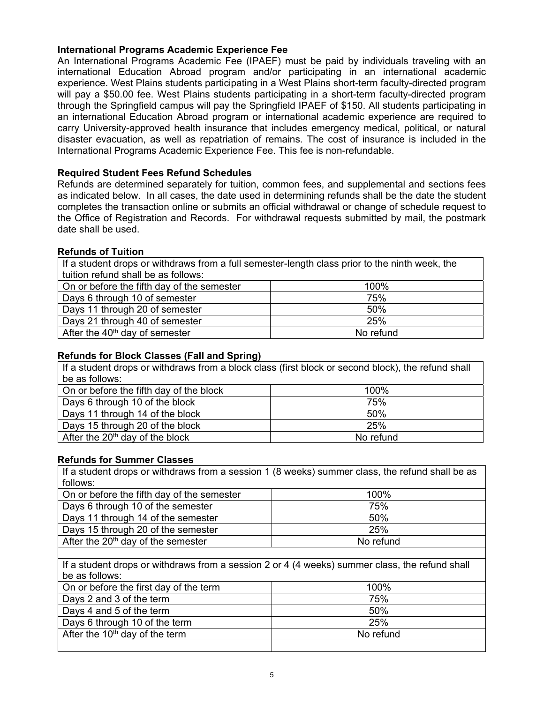# <span id="page-4-0"></span>**International Programs Academic Experience Fee**

An International Programs Academic Fee (IPAEF) must be paid by individuals traveling with an international Education Abroad program and/or participating in an international academic experience. West Plains students participating in a West Plains short-term faculty-directed program will pay a \$50.00 fee. West Plains students participating in a short-term faculty-directed program through the Springfield campus will pay the Springfield IPAEF of \$150. All students participating in an international Education Abroad program or international academic experience are required to carry University-approved health insurance that includes emergency medical, political, or natural disaster evacuation, as well as repatriation of remains. The cost of insurance is included in the International Programs Academic Experience Fee. This fee is non-refundable.

# **Required Student Fees Refund Schedules**

Refunds are determined separately for tuition, common fees, and supplemental and sections fees as indicated below. In all cases, the date used in determining refunds shall be the date the student completes the transaction online or submits an official withdrawal or change of schedule request to the Office of Registration and Records. For withdrawal requests submitted by mail, the postmark date shall be used.

# **Refunds of Tuition**

If a student drops or withdraws from a full semester-length class prior to the ninth week, the tuition refund shall be as follows:

| On or before the fifth day of the semester | 100%      |
|--------------------------------------------|-----------|
| Days 6 through 10 of semester              | 75%       |
| Days 11 through 20 of semester             | 50%       |
| Days 21 through 40 of semester             | 25%       |
| After the $40th$ day of semester           | No refund |

# **Refunds for Block Classes (Fall and Spring)**

If a student drops or withdraws from a block class (first block or second block), the refund shall be as follows:

| On or before the fifth day of the block | 100%      |
|-----------------------------------------|-----------|
| Days 6 through 10 of the block          | 75%       |
| Days 11 through 14 of the block         | 50%       |
| Days 15 through 20 of the block         | 25%       |
| After the $20th$ day of the block       | No refund |

# **Refunds for Summer Classes**

If a student drops or withdraws from a session 1 (8 weeks) summer class, the refund shall be as follows:

| On or before the fifth day of the semester | 100%      |
|--------------------------------------------|-----------|
| Days 6 through 10 of the semester          | 75%       |
| Days 11 through 14 of the semester         | 50%       |
| Days 15 through 20 of the semester         | 25%       |
| After the $20th$ day of the semester       | No refund |
|                                            |           |

If a student drops or withdraws from a session 2 or 4 (4 weeks) summer class, the refund shall be as follows:

| On or before the first day of the term | 100%      |
|----------------------------------------|-----------|
| Days 2 and 3 of the term               | 75%       |
| Days 4 and 5 of the term               | 50%       |
| Days 6 through 10 of the term          | 25%       |
| After the $10th$ day of the term       | No refund |
|                                        |           |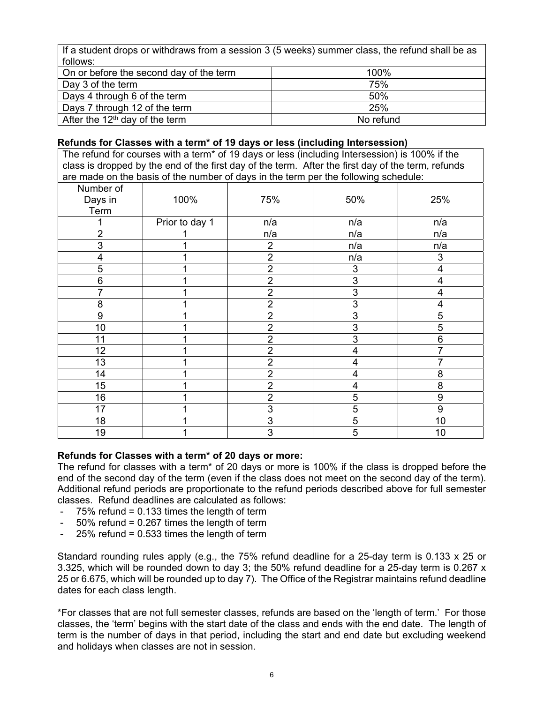If a student drops or withdraws from a session 3 (5 weeks) summer class, the refund shall be as follows:

| TUITUWJ.                                |           |
|-----------------------------------------|-----------|
| On or before the second day of the term | 100%      |
| Day 3 of the term                       | 75%       |
| Days 4 through 6 of the term            | 50%       |
| Days 7 through 12 of the term           | 25%       |
| After the $12th$ day of the term        | No refund |

# **Refunds for Classes with a term\* of 19 days or less (including Intersession)**

The refund for courses with a term\* of 19 days or less (including Intersession) is 100% if the class is dropped by the end of the first day of the term. After the first day of the term, refunds are made on the basis of the number of days in the term per the following schedule:

| Number of      |                |                           |                          |                         |
|----------------|----------------|---------------------------|--------------------------|-------------------------|
| Days in        | 100%           | 75%                       | 50%                      | 25%                     |
| Term           |                |                           |                          |                         |
|                | Prior to day 1 | n/a                       | n/a                      | n/a                     |
| $\overline{2}$ | 1              | n/a                       | n/a                      | n/a                     |
| 3              | 1              | $\overline{2}$            | n/a                      | n/a                     |
| 4              | 1              | $\overline{2}$            | n/a                      | $\sqrt{3}$              |
| 5              | 1              | $\overline{2}$            | 3                        | $\overline{\mathbf{4}}$ |
| 6              | 1              | $\overline{2}$            | 3                        | 4                       |
| 7              | 4              | $\overline{2}$            | $\overline{3}$           | 4                       |
| 8              |                | $\overline{2}$            | 3                        | 4                       |
| 9              | 1              | $\overline{2}$            | 3                        | 5                       |
| 10             | 1              | $\overline{2}$            | 3                        | 5                       |
| 11             | 1              | 2                         | 3                        | 6                       |
| 12             | 1              | $\overline{2}$            | $\overline{\mathcal{A}}$ | 7                       |
| 13             | 1              | $\overline{2}$            | 4                        |                         |
| 14             | 1              | $\overline{2}$            | 4                        | 8                       |
| 15             |                | $\overline{2}$            | 4                        | 8                       |
| 16             |                | $\overline{2}$            | 5                        | 9                       |
| 17             | 1              | 3                         | 5                        | $\boldsymbol{9}$        |
| 18             | 4              | $\ensuremath{\mathsf{3}}$ | 5                        | 10                      |
| 19             | 1              | 3                         | 5                        | 10                      |

# **Refunds for Classes with a term\* of 20 days or more:**

The refund for classes with a term\* of 20 days or more is 100% if the class is dropped before the end of the second day of the term (even if the class does not meet on the second day of the term). Additional refund periods are proportionate to the refund periods described above for full semester classes. Refund deadlines are calculated as follows:

- $75\%$  refund = 0.133 times the length of term
- $50\%$  refund = 0.267 times the length of term
- $25%$  refund = 0.533 times the length of term

Standard rounding rules apply (e.g., the 75% refund deadline for a 25-day term is 0.133 x 25 or 3.325, which will be rounded down to day 3; the 50% refund deadline for a 25-day term is 0.267 x 25 or 6.675, which will be rounded up to day 7). The Office of the Registrar maintains refund deadline dates for each class length.

\*For classes that are not full semester classes, refunds are based on the 'length of term.' For those classes, the 'term' begins with the start date of the class and ends with the end date. The length of term is the number of days in that period, including the start and end date but excluding weekend and holidays when classes are not in session.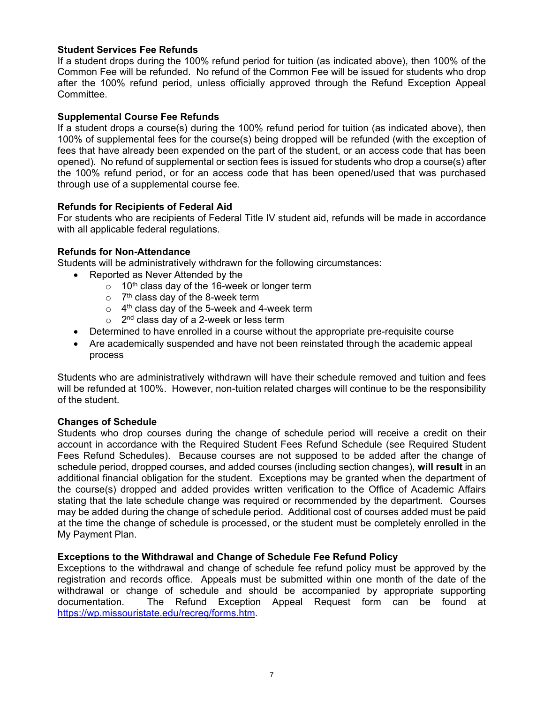# <span id="page-6-0"></span>**Student Services Fee Refunds**

If a student drops during the 100% refund period for tuition (as indicated above), then 100% of the Common Fee will be refunded. No refund of the Common Fee will be issued for students who drop after the 100% refund period, unless officially approved through the Refund Exception Appeal Committee.

# **Supplemental Course Fee Refunds**

If a student drops a course(s) during the 100% refund period for tuition (as indicated above), then 100% of supplemental fees for the course(s) being dropped will be refunded (with the exception of fees that have already been expended on the part of the student, or an access code that has been opened). No refund of supplemental or section fees is issued for students who drop a course(s) after the 100% refund period, or for an access code that has been opened/used that was purchased through use of a supplemental course fee.

# **Refunds for Recipients of Federal Aid**

For students who are recipients of Federal Title IV student aid, refunds will be made in accordance with all applicable federal regulations.

# **Refunds for Non-Attendance**

Students will be administratively withdrawn for the following circumstances:

- Reported as Never Attended by the
	- $\circ$  10<sup>th</sup> class day of the 16-week or longer term
	- $\circ$  7<sup>th</sup> class day of the 8-week term
	- $\circ$  4<sup>th</sup> class day of the 5-week and 4-week term
	- $\circ$  2<sup>nd</sup> class day of a 2-week or less term
- Determined to have enrolled in a course without the appropriate pre-requisite course
- Are academically suspended and have not been reinstated through the academic appeal process

Students who are administratively withdrawn will have their schedule removed and tuition and fees will be refunded at 100%. However, non-tuition related charges will continue to be the responsibility of the student.

# **Changes of Schedule**

Students who drop courses during the change of schedule period will receive a credit on their account in accordance with the Required Student Fees Refund Schedule (see Required Student Fees Refund Schedules). Because courses are not supposed to be added after the change of schedule period, dropped courses, and added courses (including section changes), **will result** in an additional financial obligation for the student. Exceptions may be granted when the department of the course(s) dropped and added provides written verification to the Office of Academic Affairs stating that the late schedule change was required or recommended by the department. Courses may be added during the change of schedule period. Additional cost of courses added must be paid at the time the change of schedule is processed, or the student must be completely enrolled in the My Payment Plan.

# **Exceptions to the Withdrawal and Change of Schedule Fee Refund Policy**

Exceptions to the withdrawal and change of schedule fee refund policy must be approved by the registration and records office. Appeals must be submitted within one month of the date of the withdrawal or change of schedule and should be accompanied by appropriate supporting documentation. The Refund Exception Appeal Request form can be found at https://wp.missouristate.edu/recreg/forms.htm.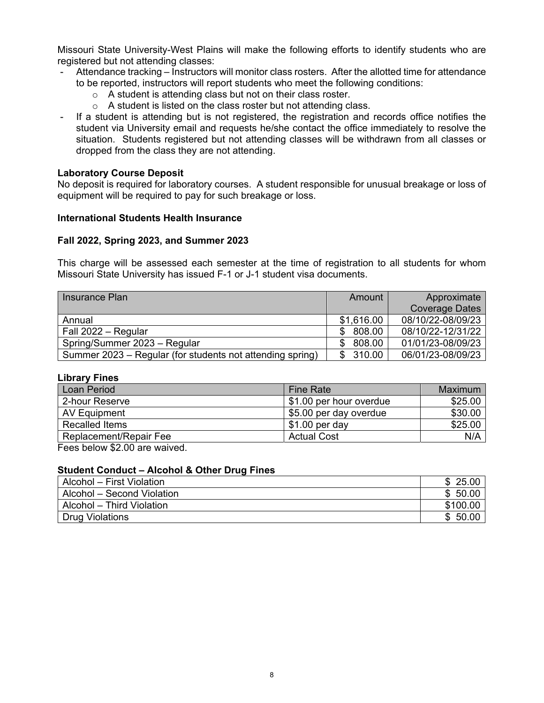<span id="page-7-0"></span>Missouri State University-West Plains will make the following efforts to identify students who are registered but not attending classes:

- Attendance tracking Instructors will monitor class rosters. After the allotted time for attendance to be reported, instructors will report students who meet the following conditions:
	- $\circ$  A student is attending class but not on their class roster.
	- $\circ$  A student is listed on the class roster but not attending class.
- If a student is attending but is not registered, the registration and records office notifies the student via University email and requests he/she contact the office immediately to resolve the situation. Students registered but not attending classes will be withdrawn from all classes or dropped from the class they are not attending.

# **Laboratory Course Deposit**

No deposit is required for laboratory courses. A student responsible for unusual breakage or loss of equipment will be required to pay for such breakage or loss.

# **International Students Health Insurance**

# **Fall 2022, Spring 2023, and Summer 2023**

This charge will be assessed each semester at the time of registration to all students for whom Missouri State University has issued F-1 or J-1 student visa documents.

| Insurance Plan                                            | Amount     | Approximate<br><b>Coverage Dates</b> |
|-----------------------------------------------------------|------------|--------------------------------------|
| Annual                                                    | \$1,616.00 | 08/10/22-08/09/23                    |
| Fall 2022 - Regular                                       | 808.00     | 08/10/22-12/31/22                    |
| Spring/Summer 2023 - Regular                              | 808.00     | 01/01/23-08/09/23                    |
| Summer 2023 – Regular (for students not attending spring) | 310.00     | 06/01/23-08/09/23                    |

# **Library Fines**

| Loan Period            | <b>Fine Rate</b>        | Maximum |
|------------------------|-------------------------|---------|
| 2-hour Reserve         | \$1.00 per hour overdue | \$25.00 |
| AV Equipment           | \$5.00 per day overdue  | \$30.00 |
| Recalled Items         | $$1.00$ per day         | \$25.00 |
| Replacement/Repair Fee | <b>Actual Cost</b>      | N/A     |
| $\cdots$<br>_______    |                         |         |

Fees below \$2.00 are waived.

# **Student Conduct – Alcohol & Other Drug Fines**

| Alcohol – First Violation  | \$25.00  |
|----------------------------|----------|
| Alcohol – Second Violation | \$50.00  |
| Alcohol - Third Violation  | \$100.00 |
| <b>Drug Violations</b>     | \$50.00  |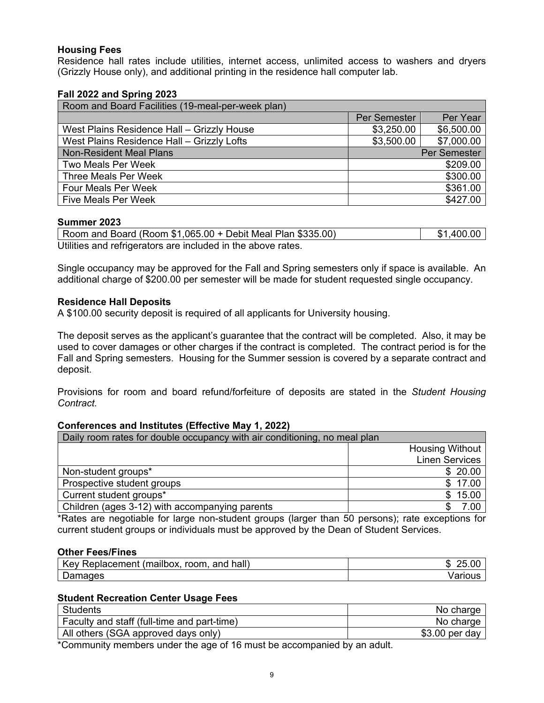# <span id="page-8-0"></span>**Housing Fees**

Residence hall rates include utilities, internet access, unlimited access to washers and dryers (Grizzly House only), and additional printing in the residence hall computer lab.

# **Fall 2022 and Spring 2023**

| Room and Board Facilities (19-meal-per-week plan) |              |            |  |
|---------------------------------------------------|--------------|------------|--|
|                                                   | Per Semester | Per Year   |  |
| West Plains Residence Hall - Grizzly House        | \$3,250.00   | \$6,500.00 |  |
| West Plains Residence Hall - Grizzly Lofts        | \$3,500.00   | \$7,000.00 |  |
| <b>Non-Resident Meal Plans</b>                    | Per Semester |            |  |
| <b>Two Meals Per Week</b>                         | \$209.00     |            |  |
| Three Meals Per Week                              | \$300.00     |            |  |
| <b>Four Meals Per Week</b>                        | \$361.00     |            |  |
| <b>Five Meals Per Week</b>                        |              | \$427.00   |  |

# **Summer 2023**

Room and Board (Room \$1,065.00 + Debit Meal Plan \$335.00) \$1,400.00 Utilities and refrigerators are included in the above rates.

Single occupancy may be approved for the Fall and Spring semesters only if space is available. An additional charge of \$200.00 per semester will be made for student requested single occupancy.

# **Residence Hall Deposits**

A \$100.00 security deposit is required of all applicants for University housing.

The deposit serves as the applicant's guarantee that the contract will be completed. Also, it may be used to cover damages or other charges if the contract is completed. The contract period is for the Fall and Spring semesters. Housing for the Summer session is covered by a separate contract and deposit.

Provisions for room and board refund/forfeiture of deposits are stated in the *Student Housing Contract.* 

# **Conferences and Institutes (Effective May 1, 2022)**

| Daily room rates for double occupancy with air conditioning, no meal plan |                        |  |  |
|---------------------------------------------------------------------------|------------------------|--|--|
|                                                                           | <b>Housing Without</b> |  |  |
|                                                                           | <b>Linen Services</b>  |  |  |
| Non-student groups*                                                       | \$20.00                |  |  |
| Prospective student groups                                                | \$17.00                |  |  |
| Current student groups*                                                   | \$15.00                |  |  |
| Children (ages 3-12) with accompanying parents                            | 7.00                   |  |  |

\*Rates are negotiable for large non-student groups (larger than 50 persons); rate exceptions for current student groups or individuals must be approved by the Dean of Student Services.

# **Other Fees/Fines**

| hall)<br>$\cdots$<br>room<br>and<br>Replacement.<br><i>I</i> mailhox<br>$\mathsf{N}$<br>. v | .OC<br>m<br>าะ<br>ιIJ |
|---------------------------------------------------------------------------------------------|-----------------------|
| -<br>mades<br>שar                                                                           | $   -$<br>arious      |

# **Student Recreation Center Usage Fees**

| <b>Students</b>                             | No charge       |
|---------------------------------------------|-----------------|
| Faculty and staff (full-time and part-time) | No charge       |
| All others (SGA approved days only)         | $$3.00$ per day |

\*Community members under the age of 16 must be accompanied by an adult.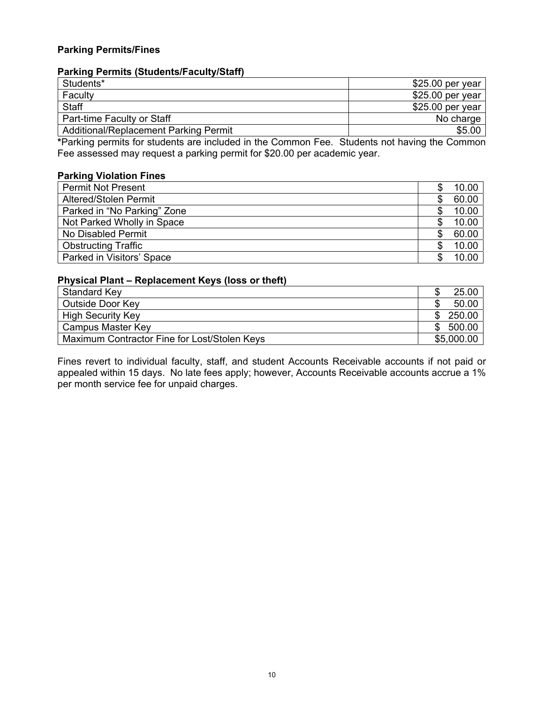# <span id="page-9-0"></span>**Parking Permits/Fines**

# **Parking Permits (Students/Faculty/Staff)**

| Students*                             | $$25.00$ per year |
|---------------------------------------|-------------------|
| Faculty                               | $$25.00$ per year |
| Staff                                 | $$25.00$ per year |
| Part-time Faculty or Staff            | No charge         |
| Additional/Replacement Parking Permit | \$5.00            |

**\***Parking permits for students are included in the Common Fee. Students not having the Common Fee assessed may request a parking permit for \$20.00 per academic year.

# **Parking Violation Fines**

| <b>Permit Not Present</b>   | 10.00 |
|-----------------------------|-------|
| Altered/Stolen Permit       | 60.00 |
| Parked in "No Parking" Zone | 10.00 |
| Not Parked Wholly in Space  | 10.00 |
| No Disabled Permit          | 60.00 |
| <b>Obstructing Traffic</b>  | 10.00 |
| Parked in Visitors' Space   | 10.00 |

# **Physical Plant – Replacement Keys (loss or theft)**

| Standard Key                                 |     | 25.00      |
|----------------------------------------------|-----|------------|
| Outside Door Key                             |     | 50.00      |
| <b>High Security Key</b>                     | -SS | 250.00     |
| Campus Master Key                            | -SS | 500.00     |
| Maximum Contractor Fine for Lost/Stolen Keys |     | \$5,000.00 |

Fines revert to individual faculty, staff, and student Accounts Receivable accounts if not paid or appealed within 15 days. No late fees apply; however, Accounts Receivable accounts accrue a 1% per month service fee for unpaid charges.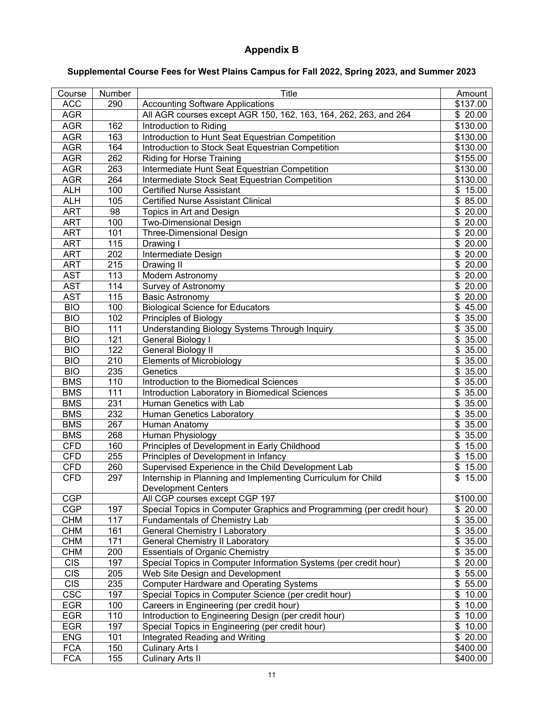# **Appendix B**

# <span id="page-10-0"></span>**Supplemental Course Fees for West Plains Campus for Fall 2022, Spring 2023, and Summer 2023**

| Course           | Number | <b>Title</b>                                                          | Amount                |
|------------------|--------|-----------------------------------------------------------------------|-----------------------|
| <b>ACC</b>       | 290    | <b>Accounting Software Applications</b>                               | \$137.00              |
| <b>AGR</b>       |        | All AGR courses except AGR 150, 162, 163, 164, 262, 263, and 264      | \$20.00               |
| <b>AGR</b>       | 162    | Introduction to Riding                                                | \$130.00              |
| <b>AGR</b>       | 163    | Introduction to Hunt Seat Equestrian Competition                      | \$130.00              |
| <b>AGR</b>       | 164    | Introduction to Stock Seat Equestrian Competition                     | \$130.00              |
| <b>AGR</b>       | 262    | <b>Riding for Horse Training</b>                                      | \$155.00              |
| <b>AGR</b>       | 263    | Intermediate Hunt Seat Equestrian Competition                         | \$130.00              |
| <b>AGR</b>       | 264    | Intermediate Stock Seat Equestrian Competition                        | \$130.00              |
| <b>ALH</b>       | 100    | <b>Certified Nurse Assistant</b>                                      | \$15.00               |
| <b>ALH</b>       | 105    | <b>Certified Nurse Assistant Clinical</b>                             | \$85.00               |
| <b>ART</b>       | 98     | Topics in Art and Design                                              | \$20.00               |
| <b>ART</b>       | 100    | <b>Two-Dimensional Design</b>                                         | $\frac{1}{20.00}$     |
| <b>ART</b>       | 101    | <b>Three-Dimensional Design</b>                                       | \$20.00               |
| <b>ART</b>       | 115    | Drawing I                                                             | \$20.00               |
| <b>ART</b>       | 202    | Intermediate Design                                                   | \$20.00               |
| <b>ART</b>       | 215    | Drawing II                                                            | \$20.00               |
| <b>AST</b>       | 113    | Modern Astronomy                                                      | \$20.00               |
| <b>AST</b>       | 114    | Survey of Astronomy                                                   | \$20.00               |
| <b>AST</b>       | 115    | <b>Basic Astronomy</b>                                                | \$20.00               |
| $\overline{BIO}$ | 100    | <b>Biological Science for Educators</b>                               | $\overline{$}$ 45.00  |
| $\overline{BIO}$ | 102    | Principles of Biology                                                 | \$35.00               |
| <b>BIO</b>       | 111    | <b>Understanding Biology Systems Through Inquiry</b>                  | \$35.00               |
| <b>BIO</b>       | 121    | General Biology I                                                     | \$35.00               |
| <b>BIO</b>       | 122    | General Biology II                                                    | \$35.00               |
| <b>BIO</b>       | 210    | <b>Elements of Microbiology</b>                                       | \$35.00               |
| <b>BIO</b>       | 235    | Genetics                                                              | \$35.00               |
| <b>BMS</b>       | 110    | Introduction to the Biomedical Sciences                               | \$35.00               |
| <b>BMS</b>       | 111    | Introduction Laboratory in Biomedical Sciences                        | \$35.00               |
| <b>BMS</b>       | 231    | Human Genetics with Lab                                               | \$35.00               |
| <b>BMS</b>       | 232    | Human Genetics Laboratory                                             | \$35.00               |
| <b>BMS</b>       | 267    | Human Anatomy                                                         | \$35.00               |
| <b>BMS</b>       | 268    | Human Physiology                                                      | \$35.00               |
| <b>CFD</b>       | 160    | Principles of Development in Early Childhood                          | \$15.00               |
| <b>CFD</b>       | 255    | Principles of Development in Infancy                                  | \$15.00               |
| CFD              | 260    | Supervised Experience in the Child Development Lab                    | \$15.00               |
| <b>CFD</b>       | 297    | Internship in Planning and Implementing Curriculum for Child          | \$15.00               |
|                  |        | <b>Development Centers</b>                                            |                       |
| <b>CGP</b>       |        | All CGP courses except CGP 197                                        | \$100.00              |
| <b>CGP</b>       | 197    | Special Topics in Computer Graphics and Programming (per credit hour) | \$20.00               |
| CHM              | 117    | Fundamentals of Chemistry Lab                                         | \$35.00               |
| <b>CHM</b>       | 161    | <b>General Chemistry I Laboratory</b>                                 | \$35.00               |
| <b>CHM</b>       | 171    | <b>General Chemistry II Laboratory</b>                                | \$35.00               |
| <b>CHM</b>       | 200    | <b>Essentials of Organic Chemistry</b>                                | \$35.00               |
| <b>CIS</b>       | 197    | Special Topics in Computer Information Systems (per credit hour)      | \$20.00               |
| <b>CIS</b>       | 205    | Web Site Design and Development                                       | \$55.00               |
| <b>CIS</b>       | 235    | <b>Computer Hardware and Operating Systems</b>                        | \$55.00               |
| <b>CSC</b>       | 197    | Special Topics in Computer Science (per credit hour)                  | \$10.00               |
| <b>EGR</b>       | 100    | Careers in Engineering (per credit hour)                              | $\overline{\$}$ 10.00 |
| <b>EGR</b>       | 110    | Introduction to Engineering Design (per credit hour)                  | $\overline{\$}$ 10.00 |
| <b>EGR</b>       | 197    | Special Topics in Engineering (per credit hour)                       | $\overline{\$}$ 10.00 |
| <b>ENG</b>       | 101    | Integrated Reading and Writing                                        | \$20.00               |
| <b>FCA</b>       | 150    | <b>Culinary Arts I</b>                                                | \$400.00              |
| <b>FCA</b>       | 155    | <b>Culinary Arts II</b>                                               | \$400.00              |